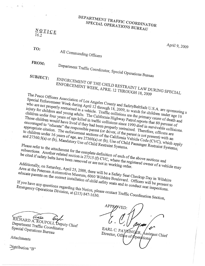#### PARTMENT TP PECIAL OPERATIONS SPECIAL OPERATIONS BUREAU

 $\frac{N}{L}$   $Q$   $T$   $I$   $C$   $E$ 16.2

Apri19, 2009

TO: All Commanding Officers

FROM: Department Traffic Coordinator, Special Operations Bureau SUBJECT.

SUBJECT: ENFORCEMENT OF THE CHILD RESTRAINT LAW DURING SPECIAL<br>ENFORCEMENT WEEK, APRIL 12 THROUGH 18, 2009

The Peace Officers Association of Los Angeles County and SafetyBeltSafe U.S.A. are sponsoring a<br>who are not properly restrained in a vehicle. Traffic collision, to watch for children under<br>hildren and young adult. Traffic Special Enforcement Week during April 12 through 18, 2009, to watch for children under age 16 who are not properly restrained in a vehicle. Traffic collisions are the primary cause of death and injury for children and young adults. The California Highway Patrol reports that 80 percent of children under four years of age killed in traffic collisions since 1990 died in survivable collisions. Those children would have lived if they had been properly restrained. Therefore, officers are<br>appropriate citation. The enforcement sections of the California Vehicle Code (CVC), with an<br>and 27360.5(a) or (b), Mandatory Us encouraged to "educate" the responsible parent (or driver, if the parent is not present) with an appropriate citation. The enforcement sections of the California Vehicle Code (CVC), which apply to children under 16 years of age, are 27360(a) or (b) Use of Child Passenger Restraint Systems;<br>and 27360.5(a) or (b), Mandatory Use of Child Restraint Systems,<br>Please refer to the attachment C

Please refer to the attachment for the complete definition of each of the above sections and<br>be cited if safety belts have been removed or  $27315(f)$  CVC, where the registered sections and

subsections. Another related section is 27315 (f) CVC, where the registered owner of a vehicle may<br>definitionally, on Saturday, April 25, 2000.<br>Area at the P, on Saturday, April 25, 2000. be cited if safety belts have been removed or are not in working order.<br>Additionally, on Saturday, April 25, 2009, there will be a Safety Seat Checkup Day in Wilshire

Area at the Petersen Automotive Museum, 6060 Wilshire Boulevard. Officers will be present to<br>educate parents on the correct installation of child safety seats and to conduct seat inspections.<br>If you have any questions rega educate parents on the correct installation of child safety seats and to conduct seat inspections. If you have any questions regarding this Notice, please contact Traffic Coordination Section,<br>Emergency Operations Division, at (213) 847-1630. Emergency Operations Division, at (213) 847-1630.

RICHARD A. ROUPOLI, Deputy Chief<br>Department Traffic Coordinate  $Special$  Operation  $\sum_{\text{O}}$ pecial Operations Bureau

Attachments

 $\mathcal{L}^{\text{ISurbution}}$  "B"

APPROVED: EARL C. PAYSINGER, Director, Office of Operations, Assistant Chief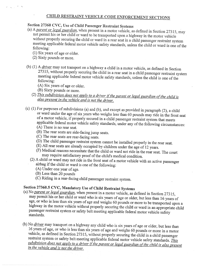#### CHILD RESTRAINT VEHICLE CODE ENFORCEMENT SECTIONS

Section 27360 CVC, Use of Child Passenger Restraint Systems<br>(a) A *parent or legal guardian*, when present in a motor vehicle, as defined in Section 27315, may not permit his or her child or ward to be transported upon a highway in the motor vehicle without properly securing the child or ward in a rear seat in a child passenger restraint system meeting applicable federal motor vehicle safety standards, unless the child or ward is one of the following:

(1) Six years of age or older.

- (2) Sixty pounds or more.
- (b) (1) A *driver* may not transport on a highway a child in a motor vehicle, as defined in Section 27315, without properly securing the child in a rear seat in a child passenger restraint system <sup>m</sup>eeting applicable federal motor vehicle safety standards, unless the child is one of the <sup>f</sup>ollowing:
	- (A) Six years of age or older.
	- (B) Sixty pounds or more.
	- (2) This subdivision does not apply to a driver if the parent or legal guardian of the child is also present in the vehicle and is not the driver.
- (c) (1) For purposes of subdivisions (a) and (b), and except as provided in paragraph (2}, a child <sup>o</sup>r ward under the age of six years who weighs less than 60 pounds may ride in the front seat <sup>o</sup>f a motor vehicle, if properly secured in a child passenger restraint system that meets <sup>a</sup>pplicable federal motor vehicle safety standards, under any of the following circumstances: (A) There is no rear seat.
	-
	- (B) The rear seats are side-facing jump seats.
	-
	- (C) The rear seats are rear-facing seats.<br>(D) The child passenger restraint system cannot be installed properly in the rear seat.
	- $\widetilde{E}$ ) All rear seats are already occupied by children under the age of 12 years.
	- (F) Medical reasons necessitate that the child or ward not ride in the rear seat. The court <sup>m</sup>ay require satisfactory proof of the child's medical condition.
	- (2) A child or ward may not ride in the front seat of a motor vehicle with an active passenger <sup>a</sup>irbag if the child or ward is one of the following:
		- (A) Under one year of age.
		- (B) Less than 20 pounds
		- (C) Riding in arear-facing child passenger restraint system.

### Section 27360.5 CVC, Mandatory Use of Child Restraint Systems

- (a) No parent or legal guardian, when present in a motor vehicle, as defined in Section 27315, may permit his or her child or ward who is six years of age or older, but less than 16 years of <sup>a</sup>ge, or who is less than six years of age and weighs 60 pounds or more to be transported upon <sup>a</sup> <sup>h</sup>ighway in the motor vehicle without properly securing the child or ward in an appropriate child <sup>p</sup>assenger restraint system or safety belt meeting applicable federal motor vehicle safety standards.
- (b) No  $\frac{driver}{}$  may transport on a highway any child who is six years of age or older, but less than 16 years of age, or who is less than six years of age and weighs 60 pounds or more in a motor vehicle, as defined in Section 27315, without properly securing the child in a child passenger restraint system or safety belt meeting applicable federal motor vehicle safety standards. This subdivision does not apply to a driver if the parent or legal guardian of the child is also present in the vehicle and is not the driver.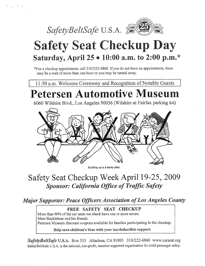

# **Safety Seat Checkup Day** Saturday, April 25 . 10:00 a.m. to 2:00 p.m.\*

\*For a checkup appointment, call 310/222-6860. If you do not have an appointment, there may be a wait of more than one hour or you may be turned away.

11:30 a.m. Welcome Ceremony and Recognition of Notable Guests

# **Petersen Automotive Museum**

6060 Wilshire Blvd., Los Angeles 90036 (Wilshire at Fairfax parking lot)



Buckling up is a family affair.

# $\alpha$ ckun Week Anril 19.25 2009 **Sponsor: California Office of Traffic Safety**

Major Supporter: Peace Officers Association of Lo

#### FREE SAFETY SEAT CHECKUP

More than 90% of the car seats we check have one or more errors. Meet Bucklebear and his friends. Petersen Museum discount coupons available for families participating in the checkup.

Help save children's lives with your tax-deductible support.

SafetyBeltSafe U.S.A. Box 553 Altadena, CA 91003 310/222-6860 www.carseat.org SafetyBeltSafe U.S.A. is the national, non-profit, member-supported organization for child passenger safety.